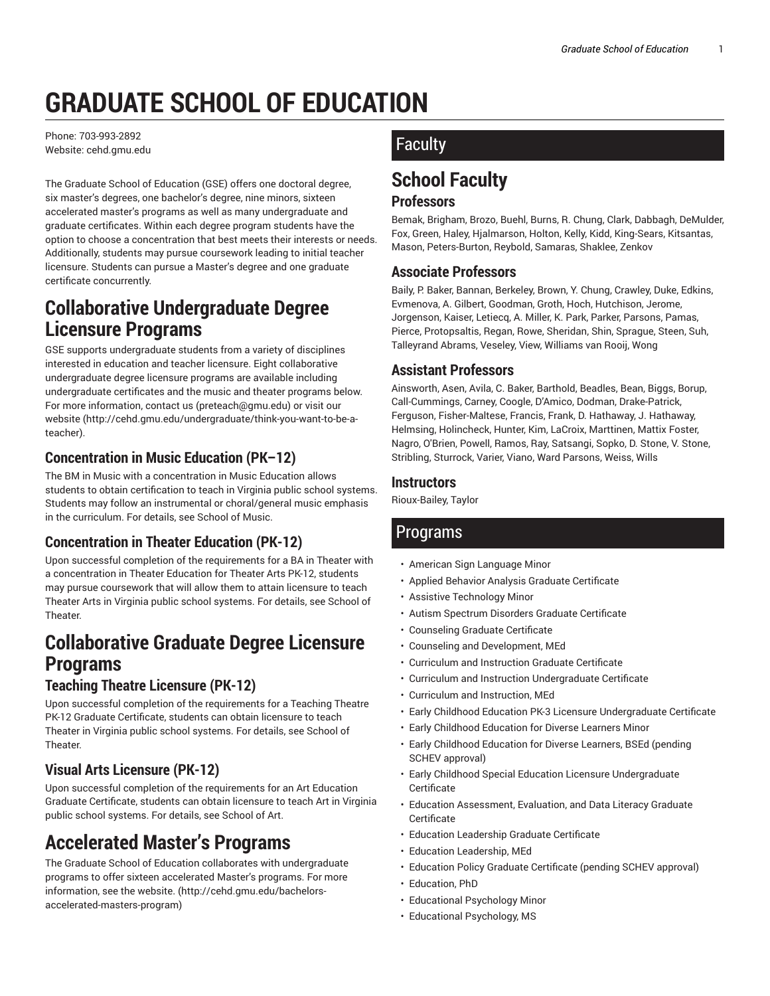# **GRADUATE SCHOOL OF EDUCATION**

Phone: 703-993-2892 Website: cehd.gmu.edu

The Graduate School of Education (GSE) offers one doctoral degree, six master's degrees, one bachelor's degree, nine minors, sixteen accelerated master's programs as well as many undergraduate and graduate certificates. Within each degree program students have the option to choose a concentration that best meets their interests or needs. Additionally, students may pursue coursework leading to initial teacher licensure. Students can pursue a Master's degree and one graduate certificate concurrently.

### **Collaborative Undergraduate Degree Licensure Programs**

GSE supports undergraduate students from a variety of disciplines interested in education and teacher licensure. Eight collaborative undergraduate degree licensure programs are available including undergraduate certificates and the music and theater programs below. For more information, contact us (preteach@gmu.edu) or visit our website (http://cehd.gmu.edu/undergraduate/think-you-want-to-be-ateacher).

### **Concentration in Music Education (PK–12)**

The BM in Music with a concentration in Music Education allows students to obtain certification to teach in Virginia public school systems. Students may follow an instrumental or choral/general music emphasis in the curriculum. For details, see School of Music.

### **Concentration in Theater Education (PK-12)**

Upon successful completion of the requirements for a BA in Theater with a concentration in Theater Education for Theater Arts PK-12, students may pursue coursework that will allow them to attain licensure to teach Theater Arts in Virginia public school systems. For details, see School of Theater.

### **Collaborative Graduate Degree Licensure Programs**

### **Teaching Theatre Licensure (PK-12)**

Upon successful completion of the requirements for a Teaching Theatre PK-12 Graduate Certificate, students can obtain licensure to teach Theater in Virginia public school systems. For details, see School of **Theater** 

### **Visual Arts Licensure (PK-12)**

Upon successful completion of the requirements for an Art Education Graduate Certificate, students can obtain licensure to teach Art in Virginia public school systems. For details, see School of Art.

### **Accelerated Master's Programs**

The Graduate School of Education collaborates with undergraduate programs to offer sixteen accelerated Master's programs. For more information, see the website. (http://cehd.gmu.edu/bachelorsaccelerated-masters-program)

### **Faculty**

## **School Faculty**

#### **Professors**

Bemak, Brigham, Brozo, Buehl, Burns, R. Chung, Clark, Dabbagh, DeMulder, Fox, Green, Haley, Hjalmarson, Holton, Kelly, Kidd, King-Sears, Kitsantas, Mason, Peters-Burton, Reybold, Samaras, Shaklee, Zenkov

### **Associate Professors**

Baily, P. Baker, Bannan, Berkeley, Brown, Y. Chung, Crawley, Duke, Edkins, Evmenova, A. Gilbert, Goodman, Groth, Hoch, Hutchison, Jerome, Jorgenson, Kaiser, Letiecq, A. Miller, K. Park, Parker, Parsons, Pamas, Pierce, Protopsaltis, Regan, Rowe, Sheridan, Shin, Sprague, Steen, Suh, Talleyrand Abrams, Veseley, View, Williams van Rooij, Wong

#### **Assistant Professors**

Ainsworth, Asen, Avila, C. Baker, Barthold, Beadles, Bean, Biggs, Borup, Call-Cummings, Carney, Coogle, D'Amico, Dodman, Drake-Patrick, Ferguson, Fisher-Maltese, Francis, Frank, D. Hathaway, J. Hathaway, Helmsing, Holincheck, Hunter, Kim, LaCroix, Marttinen, Mattix Foster, Nagro, O'Brien, Powell, Ramos, Ray, Satsangi, Sopko, D. Stone, V. Stone, Stribling, Sturrock, Varier, Viano, Ward Parsons, Weiss, Wills

#### **Instructors**

Rioux-Bailey, Taylor

### Programs

- American Sign Language Minor
- Applied Behavior Analysis Graduate Certificate
- Assistive Technology Minor
- Autism Spectrum Disorders Graduate Certificate
- Counseling Graduate Certificate
- Counseling and Development, MEd
- Curriculum and Instruction Graduate Certificate
- Curriculum and Instruction Undergraduate Certificate
- Curriculum and Instruction, MEd
- Early Childhood Education PK-3 Licensure Undergraduate Certificate
- Early Childhood Education for Diverse Learners Minor
- Early Childhood Education for Diverse Learners, BSEd (pending SCHEV approval)
- Early Childhood Special Education Licensure Undergraduate Certificate
- Education Assessment, Evaluation, and Data Literacy Graduate Certificate
- Education Leadership Graduate Certificate
- Education Leadership, MEd
- Education Policy Graduate Certificate (pending SCHEV approval)
- Education, PhD
- Educational Psychology Minor
- Educational Psychology, MS